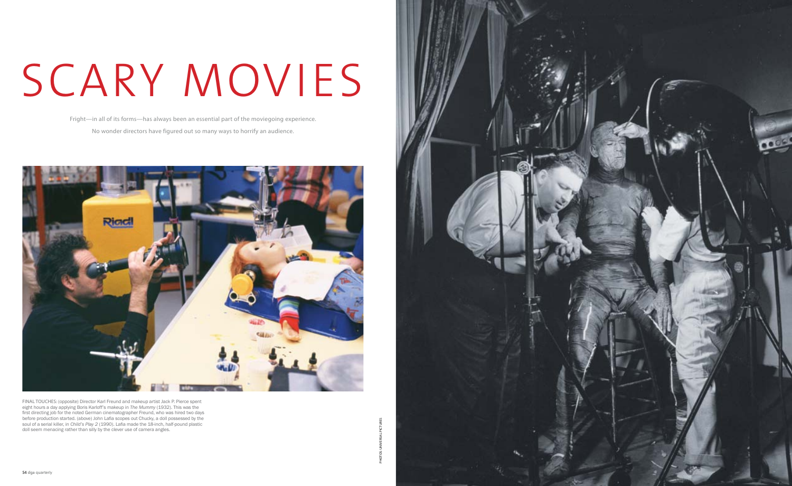

Fright—in all of its forms—has always been an essential part of the moviegoing experience. No wonder directors have figured out so many ways to horrify an audience.



FINAL TOUCHES: (opposite) Director Karl Freund and makeup artist Jack P. Pierce spent eight hours a day applying Boris Karloff's makeup in *The Mummy* (1932). This was the first directing job for the noted German cinematographer Freund, who was hired two days before production started. (above) John Lafia scopes out Chucky, a doll possessed by the soul of a serial killer, in *Child's Play 2* (1990). Lafia made the 18-inch, half-pound plastic doll seem menacing rather than silly by the clever use of camera angles.

## SCARY MOVIES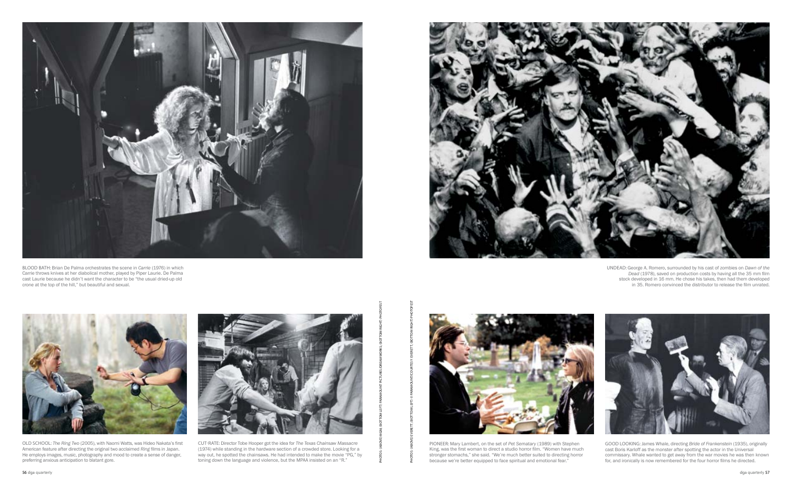Photos: (above) MGM; (BOTTOM LEFT) Paramount Pictures/Dreamworks; (BOTTOM RIGHT) PHOTOFEST



pioneer: Mary Lambert, on the set of *Pet Sematary* (1989) with Stephen King, was the first woman to direct a studio horror film. "Women have much stronger stomachs," she said. "We're much better suited to directing horror because we're better equipped to face spiritual and emotional fear."





old school: *The Ring Two* (2005), with Naomi Watts, was Hideo Nakata's first American feature after directing the original two acclaimed *Ring* films in Japan. He employs images, music, photography and mood to create a sense of danger, preferring anxious anticipation to blatant gore.



cut-rate: Director Tobe Hooper got the idea for *The Texas Chainsaw Massacre* (1974) while standing in the hardware section of a crowded store. Looking for a way out, he spotted the chainsaws. He had intended to make the movie "PG," by toning down the language and violence, but the MPAA insisted on an "R."

undead: George A. Romero, surrounded by his cast of zombies on *Dawn of the Dead* (1978), saved on production costs by having all the 35 mm film stock developed in 16 mm. He chose his takes, then had them developed in 35. Romero convinced the distributor to release the film unrated.



good looking: James Whale, directing *Bride of Frankenstein* (1935), originally cast Boris Karloff as the monster after spotting the actor in the Universal commissary. Whale wanted to get away from the war movies he was then known for, and ironically is now remembered for the four horror films he directed.



blood bath: Brian De Palma orchestrates the scene in *Carrie* (1976) in which Carrie throws knives at her diabolical mother, played by Piper Laurie. De Palma cast Laurie because he didn't want the character to be "the usual dried-up old crone at the top of the hill," but beautiful and sexual.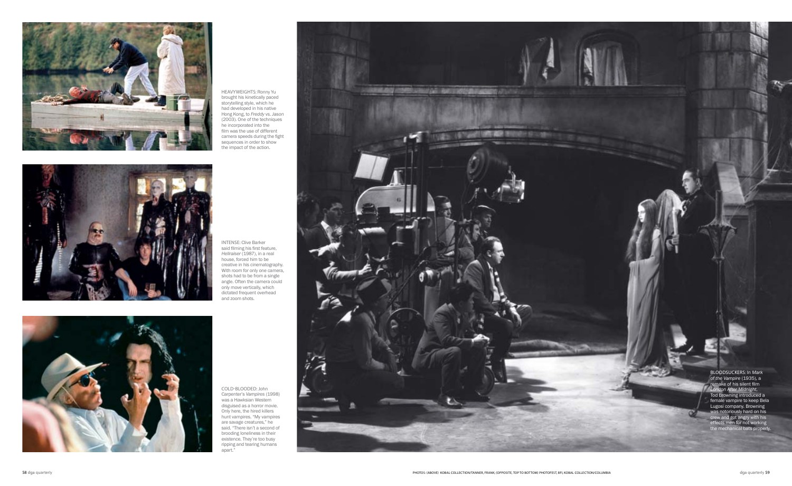

heavyweights: Ronny Yu brought his kinetically paced storytelling style, which he had developed in his native Hong Kong, to *Freddy vs. Jason* (2003). One of the techniques he incorporated into the film was the use of different camera speeds during the fight sequences in order to show the impact of the action.



INTENSE: Clive Barker said filming his first feature, *Hellraiser* (1987), in a real house, forced him to be creative in his cinematography. With room for only one camera, shots had to be from a single angle. Often the camera could only move vertically, which dictated frequent overhead and zoom shots.



cold-blooded: John Carpenter's *Vampires* (1998) was a Hawksian Western disguised as a horror movie. Only here, the hired killers hunt vampires. "My vampires are savage creatures," he said. "There isn't a second of brooding loneliness in their existence. They're too busy ripping and tearing humans apart."



bloodsuckers: In *Mark of the Vampire* (1935), a remake of his silent film *London After Midnight*, Tod Browning introduced a female vampire to keep Bela Lugosi company. Browning was notoriously hard on his crew and got angry with his effects men for not working the mechanical bats properly.